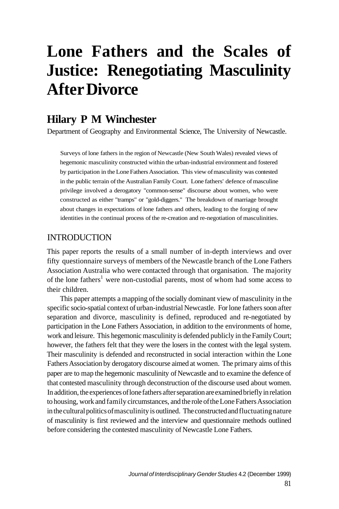# **Lone Fathers and the Scales of Justice: Renegotiating Masculinity After Divorce**

# **Hilary P M Winchester**

Department of Geography and Environmental Science, The University of Newcastle.

Surveys of lone fathers in the region of Newcastle (New South Wales) revealed views of hegemonic masculinity constructed within the urban-industrial environment and fostered by participation in the Lone Fathers Association. This view of masculinity was contested in the public terrain of the Australian Family Court. Lone fathers' defence of masculine privilege involved a derogatory "common-sense" discourse about women, who were constructed as either "tramps" or "gold-diggers." The breakdown of marriage brought about changes in expectations of lone fathers and others, leading to the forging of new identities in the continual process of the re-creation and re-negotiation of masculinities.

# **INTRODUCTION**

This paper reports the results of a small number of in-depth interviews and over fifty questionnaire surveys of members of the Newcastle branch of the Lone Fathers Association Australia who were contacted through that organisation. The majority of the lone fathers<sup>1</sup> were non-custodial parents, most of whom had some access to their children.

This paper attempts a mapping of the socially dominant view of masculinity in the specific socio-spatial context of urban-industrial Newcastle. For lone fathers soon after separation and divorce, masculinity is defined, reproduced and re-negotiated by participation in the Lone Fathers Association, in addition to the environments of home, work and leisure. This hegemonic masculinity is defended publicly in the Family Court; however, the fathers felt that they were the losers in the contest with the legal system. Their masculinity is defended and reconstructed in social interaction within the Lone Fathers Association by derogatory discourse aimed at women. The primary aims of this paper are to map the hegemonic masculinity of Newcastle and to examine the defence of that contested masculinity through deconstruction of the discourse used about women. In addition, the experiences of lone fathers after separation are examined briefly in relation to housing, work and family circumstances, and the role of the Lone Fathers Association in the cultural politics of masculinity is outlined. The constructed and fluctuating nature of masculinity is first reviewed and the interview and questionnaire methods outlined before considering the contested masculinity of Newcastle Lone Fathers.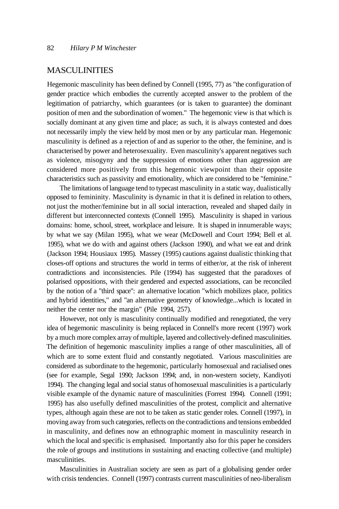#### **MASCULINITIES**

Hegemonic masculinity has been defined by Connell (1995, 77) as "the configuration of gender practice which embodies the currently accepted answer to the problem of the legitimation of patriarchy, which guarantees (or is taken to guarantee) the dominant position of men and the subordination of women." The hegemonic view is that which is socially dominant at any given time and place; as such, it is always contested and does not necessarily imply the view held by most men or by any particular man. Hegemonic masculinity is defined as a rejection of and as superior to the other, the feminine, and is characterised by power and heterosexuality. Even masculinity's apparent negatives such as violence, misogyny and the suppression of emotions other than aggression are considered more positively from this hegemonic viewpoint than their opposite characteristics such as passivity and emotionality, which are considered to be "feminine."

The limitations of language tend to typecast masculinity in a static way, dualistically opposed to femininity. Masculinity is dynamic in that it is defined in relation to others, not just the mother/feminine but in all social interaction, revealed and shaped daily in different but interconnected contexts (Connell 1995). Masculinity is shaped in various domains: home, school, street, workplace and leisure. It is shaped in innumerable ways; by what we say (Milan 1995), what we wear (McDowell and Court 1994; Bell et al. 1995), what we do with and against others (Jackson 1990), and what we eat and drink (Jackson 1994; Housiaux 1995). Massey (1995) cautions against dualistic thinking that closes-off options and structures the world in terms of either/or, at the risk of inherent contradictions and inconsistencies. Pile (1994) has suggested that the paradoxes of polarised oppositions, with their gendered and expected associations, can be reconciled by the notion of a "third space": an alternative location "which mobilizes place, politics and hybrid identities," and "an alternative geometry of knowledge...which is located in neither the center nor the margin" (Pile 1994, 257).

However, not only is masculinity continually modified and renegotiated, the very idea of hegemonic masculinity is being replaced in Connell's more recent (1997) work by a much more complex array of multiple, layered and collectively-defined masculinities. The definition of hegemonic masculinity implies a range of other masculinities, all of which are to some extent fluid and constantly negotiated. Various masculinities are considered as subordinate to the hegemonic, particularly homosexual and racialised ones (see for example, Segal 1990; Jackson 1994; and, in non-western society, Kandiyoti 1994). The changing legal and social status of homosexual masculinities is a particularly visible example of the dynamic nature of masculinities (Forrest 1994). Connell (1991; 1995) has also usefully defined masculinities of the protest, complicit and alternative types, although again these are not to be taken as static gender roles. Connell (1997), in moving away from such categories, reflects on the contradictions and tensions embedded in masculinity, and defines now an ethnographic moment in masculinity research in which the local and specific is emphasised. Importantly also for this paper he considers the role of groups and institutions in sustaining and enacting collective (and multiple) masculinities.

Masculinities in Australian society are seen as part of a globalising gender order with crisis tendencies. Connell (1997) contrasts current masculinities of neo-liberalism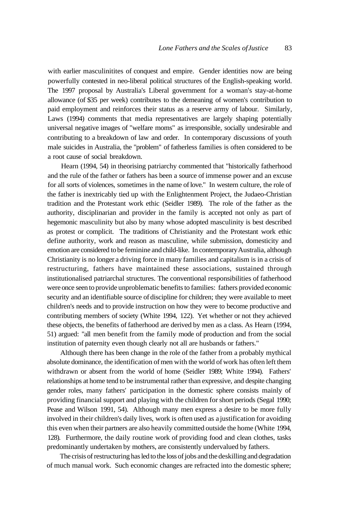with earlier masculinitites of conquest and empire. Gender identities now are being powerfully contested in neo-liberal political structures of the English-speaking world. The 1997 proposal by Australia's Liberal government for a woman's stay-at-home allowance (of \$35 per week) contributes to the demeaning of women's contribution to paid employment and reinforces their status as a reserve army of labour. Similarly, Laws (1994) comments that media representatives are largely shaping potentially universal negative images of "welfare moms" as irresponsible, socially undesirable and contributing to a breakdown of law and order. In contemporary discussions of youth male suicides in Australia, the "problem" of fatherless families is often considered to be a root cause of social breakdown.

Hearn (1994, 54) in theorising patriarchy commented that "historically fatherhood and the rule of the father or fathers has been a source of immense power and an excuse for all sorts of violences, sometimes in the name of love." In western culture, the role of the father is inextricably tied up with the Enlightenment Project, the Judaeo-Christian tradition and the Protestant work ethic (Seidler 1989). The role of the father as the authority, disciplinarian and provider in the family is accepted not only as part of hegemonic masculinity but also by many whose adopted masculinity is best described as protest or complicit. The traditions of Christianity and the Protestant work ethic define authority, work and reason as masculine, while submission, domesticity and emotion are considered to be feminine and child-like. In contemporary Australia, although Christianity is no longer a driving force in many families and capitalism is in a crisis of restructuring, fathers have maintained these associations, sustained through institutionalised patriarchal structures. The conventional responsibilities of fatherhood were once seen to provide unproblematic benefits to families: fathers provided economic security and an identifiable source of discipline for children; they were available to meet children's needs and to provide instruction on how they were to become productive and contributing members of society (White 1994, 122). Yet whether or not they achieved these objects, the benefits of fatherhood are derived by men as a class. As Hearn (1994, 51) argued: "all men benefit from the family mode of production and from the social institution of paternity even though clearly not all are husbands or fathers."

Although there has been change in the role of the father from a probably mythical absolute dominance, the identification of men with the world of work has often left them withdrawn or absent from the world of home (Seidler 1989; White 1994). Fathers' relationships at home tend to be instrumental rather than expressive, and despite changing gender roles, many fathers' participation in the domestic sphere consists mainly of providing financial support and playing with the children for short periods (Segal 1990; Pease and Wilson 1991, 54). Although many men express a desire to be more fully involved in their children's daily lives, work is often used as a justification for avoiding this even when their partners are also heavily committed outside the home (White 1994, 128). Furthermore, the daily routine work of providing food and clean clothes, tasks predominantly undertaken by mothers, are consistently undervalued by fathers.

The crisis of restructuring has led to the loss of jobs and the deskilling and degradation of much manual work. Such economic changes are refracted into the domestic sphere;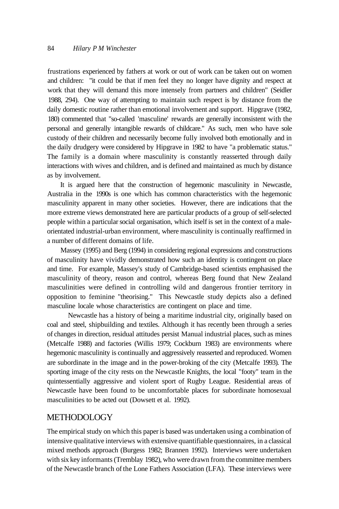frustrations experienced by fathers at work or out of work can be taken out on women and children: "it could be that if men feel they no longer have dignity and respect at work that they will demand this more intensely from partners and children" (Seidler 1988, 294). One way of attempting to maintain such respect is by distance from the daily domestic routine rather than emotional involvement and support. Hipgrave (1982, 180) commented that "so-called 'masculine' rewards are generally inconsistent with the personal and generally intangible rewards of childcare." As such, men who have sole custody of their children and necessarily become fully involved both emotionally and in the daily drudgery were considered by Hipgrave in 1982 to have "a problematic status." The family is a domain where masculinity is constantly reasserted through daily interactions with wives and children, and is defined and maintained as much by distance as by involvement.

It is argued here that the construction of hegemonic masculinity in Newcastle, Australia in the 1990s is one which has common characteristics with the hegemonic masculinity apparent in many other societies. However, there are indications that the more extreme views demonstrated here are particular products of a group of self-selected people within a particular social organisation, which itself is set in the context of a maleorientated industrial-urban environment, where masculinity is continually reaffirmed in a number of different domains of life.

Massey (1995) and Berg (1994) in considering regional expressions and constructions of masculinity have vividly demonstrated how such an identity is contingent on place and time. For example, Massey's study of Cambridge-based scientists emphasised the masculinity of theory, reason and control, whereas Berg found that New Zealand masculinities were defined in controlling wild and dangerous frontier territory in opposition to feminine "theorising." This Newcastle study depicts also a defined masculine locale whose characteristics are contingent on place and time.

Newcastle has a history of being a maritime industrial city, originally based on coal and steel, shipbuilding and textiles. Although it has recently been through a series of changes in direction, residual attitudes persist Manual industrial places, such as mines (Metcalfe 1988) and factories (Willis 1979; Cockburn 1983) are environments where hegemonic masculinity is continually and aggressively reasserted and reproduced. Women are subordinate in the image and in the power-broking of the city (Metcalfe 1993). The sporting image of the city rests on the Newcastle Knights, the local "footy" team in the quintessentially aggressive and violent sport of Rugby League. Residential areas of Newcastle have been found to be uncomfortable places for subordinate homosexual masculinities to be acted out (Dowsett et al. 1992).

#### **METHODOLOGY**

The empirical study on which this paper is based was undertaken using a combination of intensive qualitative interviews with extensive quantifiable questionnaires, in a classical mixed methods approach (Burgess 1982; Brannen 1992). Interviews were undertaken with six key informants (Tremblay 1982), who were drawn from the committee members of the Newcastle branch of the Lone Fathers Association (LFA). These interviews were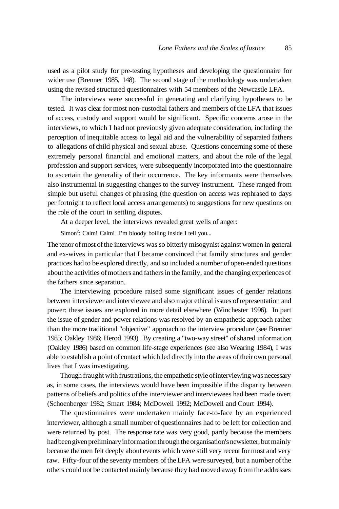used as a pilot study for pre-testing hypotheses and developing the questionnaire for wider use (Brenner 1985, 148). The second stage of the methodology was undertaken using the revised structured questionnaires with 54 members of the Newcastle LFA.

The interviews were successful in generating and clarifying hypotheses to be tested. It was clear for most non-custodial fathers and members of the LFA that issues of access, custody and support would be significant. Specific concerns arose in the interviews, to which I had not previously given adequate consideration, including the perception of inequitable access to legal aid and the vulnerability of separated fathers to allegations of child physical and sexual abuse. Questions concerning some of these extremely personal financial and emotional matters, and about the role of the legal profession and support services, were subsequently incorporated into the questionnaire to ascertain the generality of their occurrence. The key informants were themselves also instrumental in suggesting changes to the survey instrument. These ranged from simple but useful changes of phrasing (the question on access was rephrased to days per fortnight to reflect local access arrangements) to suggestions for new questions on the role of the court in settling disputes.

At a deeper level, the interviews revealed great wells of anger:

Simon<sup>2</sup>: Calm! Calm! I'm bloody boiling inside I tell you...

The tenor of most of the interviews was so bitterly misogynist against women in general and ex-wives in particular that I became convinced that family structures and gender practices had to be explored directly, and so included a number of open-ended questions about the activities of mothers and fathers in the family, and the changing experiences of the fathers since separation.

The interviewing procedure raised some significant issues of gender relations between interviewer and interviewee and also major ethical issues of representation and power: these issues are explored in more detail elsewhere (Winchester 1996). In part the issue of gender and power relations was resolved by an empathetic approach rather than the more traditional "objective" approach to the interview procedure (see Brenner 1985; Oakley 1986; Herod 1993). By creating a "two-way street" of shared information (Oakley 1986) based on common life-stage experiences (see also Wearing 1984), I was able to establish a point of contact which led directly into the areas of their own personal lives that I was investigating.

Though fraught with frustrations, the empathetic style of interviewing was necessary as, in some cases, the interviews would have been impossible if the disparity between patterns of beliefs and politics of the interviewer and interviewees had been made overt (Schoenberger 1982; Smart 1984; McDowell 1992; McDowell and Court 1994).

The questionnaires were undertaken mainly face-to-face by an experienced interviewer, although a small number of questionnaires had to be left for collection and were returned by post. The response rate was very good, partly because the members had been given preliminary information through the organisation's newsletter, but mainly because the men felt deeply about events which were still very recent for most and very raw. Fifty-four of the seventy members of the LFA were surveyed, but a number of the others could not be contacted mainly because they had moved away from the addresses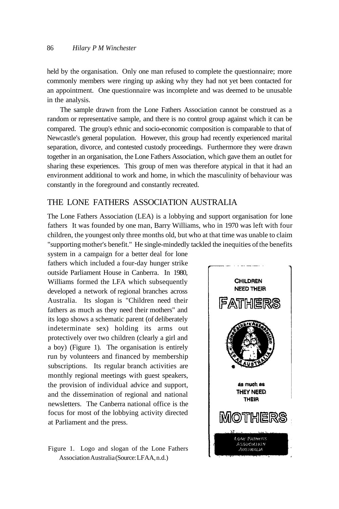held by the organisation. Only one man refused to complete the questionnaire; more commonly members were ringing up asking why they had not yet been contacted for an appointment. One questionnaire was incomplete and was deemed to be unusable in the analysis.

The sample drawn from the Lone Fathers Association cannot be construed as a random or representative sample, and there is no control group against which it can be compared. The group's ethnic and socio-economic composition is comparable to that of Newcastle's general population. However, this group had recently experienced marital separation, divorce, and contested custody proceedings. Furthermore they were drawn together in an organisation, the Lone Fathers Association, which gave them an outlet for sharing these experiences. This group of men was therefore atypical in that it had an environment additional to work and home, in which the masculinity of behaviour was constantly in the foreground and constantly recreated.

## THE LONE FATHERS ASSOCIATION AUSTRALIA

The Lone Fathers Association (LEA) is a lobbying and support organisation for lone fathers It was founded by one man, Barry Williams, who in 1970 was left with four children, the youngest only three months old, but who at that time was unable to claim "supporting mother's benefit." He single-mindedly tackled the inequities of the benefits

system in a campaign for a better deal for lone fathers which included a four-day hunger strike outside Parliament House in Canberra. In 1980, Williams formed the LFA which subsequently developed a network of regional branches across Australia. Its slogan is "Children need their fathers as much as they need their mothers" and its logo shows a schematic parent (of deliberately indeterminate sex) holding its arms out protectively over two children (clearly a girl and a boy) (Figure 1). The organisation is entirely run by volunteers and financed by membership subscriptions. Its regular branch activities are monthly regional meetings with guest speakers, the provision of individual advice and support, and the dissemination of regional and national newsletters. The Canberra national office is the focus for most of the lobbying activity directed at Parliament and the press.

Figure 1. Logo and slogan of the Lone Fathers Association Australia (Source: LFAA, n.d.)

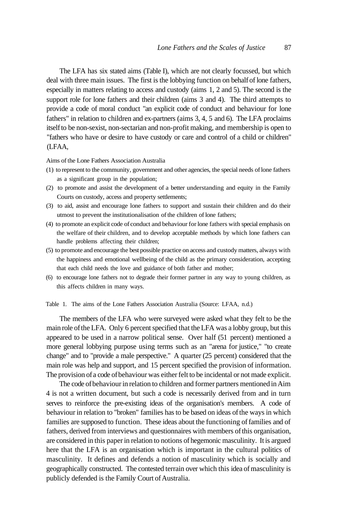The LFA has six stated aims (Table I), which are not clearly focussed, but which deal with three main issues. The first is the lobbying function on behalf of lone fathers, especially in matters relating to access and custody (aims 1, 2 and 5). The second is the support role for lone fathers and their children (aims 3 and 4). The third attempts to provide a code of moral conduct "an explicit code of conduct and behaviour for lone fathers" in relation to children and ex-partners (aims 3, 4, 5 and 6). The LFA proclaims itself to be non-sexist, non-sectarian and non-profit making, and membership is open to "fathers who have or desire to have custody or care and control of a child or children" (LFAA,

#### Aims of the Lone Fathers Association Australia

- (1) to represent to the community, government and other agencies, the special needs of lone fathers as a significant group in the population;
- (2) to promote and assist the development of a better understanding and equity in the Family Courts on custody, access and property settlements;
- (3) to aid, assist and encourage lone fathers to support and sustain their children and do their utmost to prevent the institutionalisation of the children of lone fathers;
- (4) to promote an explicit code of conduct and behaviour for lone fathers with special emphasis on the welfare of their children, and to develop acceptable methods by which lone fathers can handle problems affecting their children;
- (5) to promote and encourage the best possible practice on access and custody matters, always with the happiness and emotional wellbeing of the child as the primary consideration, accepting that each child needs the love and guidance of both father and mother;
- (6) to encourage lone fathers not to degrade their former partner in any way to young children, as this affects children in many ways.

Table 1. The aims of the Lone Fathers Association Australia (Source: LFAA, n.d.)

The members of the LFA who were surveyed were asked what they felt to be the main role of the LFA. Only 6 percent specified that the LFA was a lobby group, but this appeared to be used in a narrow political sense. Over half (51 percent) mentioned a more general lobbying purpose using terms such as an "arena for justice," "to create change" and to "provide a male perspective." A quarter (25 percent) considered that the main role was help and support, and 15 percent specified the provision of information. The provision of a code of behaviour was either felt to be incidental or not made explicit.

The code of behaviour in relation to children and former partners mentioned in Aim 4 is not a written document, but such a code is necessarily derived from and in turn serves to reinforce the pre-existing ideas of the organisation's members. A code of behaviour in relation to "broken" families has to be based on ideas of the ways in which families are supposed to function. These ideas about the functioning of families and of fathers, derived from interviews and questionnaires with members of this organisation, are considered in this paper in relation to notions of hegemonic masculinity. It is argued here that the LFA is an organisation which is important in the cultural politics of masculinity. It defines and defends a notion of masculinity which is socially and geographically constructed. The contested terrain over which this idea of masculinity is publicly defended is the Family Court of Australia.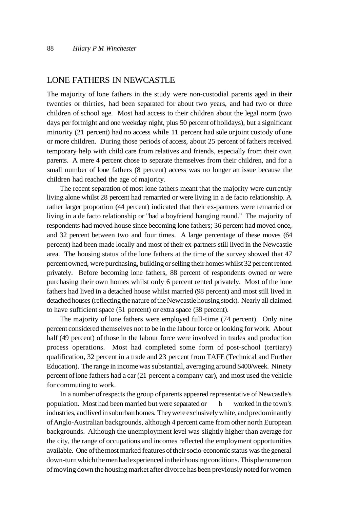#### LONE FATHERS IN NEWCASTLE

The majority of lone fathers in the study were non-custodial parents aged in their twenties or thirties, had been separated for about two years, and had two or three children of school age. Most had access to their children about the legal norm (two days per fortnight and one weekday night, plus 50 percent of holidays), but a significant minority (21 percent) had no access while 11 percent had sole or joint custody of one or more children. During those periods of access, about 25 percent of fathers received temporary help with child care from relatives and friends, especially from their own parents. A mere 4 percent chose to separate themselves from their children, and for a small number of lone fathers (8 percent) access was no longer an issue because the children had reached the age of majority.

The recent separation of most lone fathers meant that the majority were currently living alone whilst 28 percent had remarried or were living in a de facto relationship. A rather larger proportion (44 percent) indicated that their ex-partners were remarried or living in a de facto relationship or "had a boyfriend hanging round." The majority of respondents had moved house since becoming lone fathers; 36 percent had moved once, and 32 percent between two and four times. A large percentage of these moves (64 percent) had been made locally and most of their ex-partners still lived in the Newcastle area. The housing status of the lone fathers at the time of the survey showed that 47 percent owned, were purchasing, building or selling their homes whilst 32 percent rented privately. Before becoming lone fathers, 88 percent of respondents owned or were purchasing their own homes whilst only 6 percent rented privately. Most of the lone fathers had lived in a detached house whilst married (98 percent) and most still lived in detached houses (reflecting the nature of the Newcastle housing stock). Nearly all claimed to have sufficient space (51 percent) or extra space (38 percent).

The majority of lone fathers were employed full-time (74 percent). Only nine percent considered themselves not to be in the labour force or looking for work. About half (49 percent) of those in the labour force were involved in trades and production process operations. Most had completed some form of post-school (tertiary) qualification, 32 percent in a trade and 23 percent from TAFE (Technical and Further Education). The range in income was substantial, averaging around \$400/week. Ninety percent of lone fathers had a car (21 percent a company car), and most used the vehicle for commuting to work.

In a number of respects the group of parents appeared representative of Newcastle's population. Most had been married but were separated or h worked in the town's industries, and lived in suburban homes. They were exclusively white, and predominantly of Anglo-Australian backgrounds, although 4 percent came from other north European backgrounds. Although the unemployment level was slightly higher than average for the city, the range of occupations and incomes reflected the employment opportunities available. One of the most marked features of their socio-economic status was the general down-turn which the men had experienced in their housing conditions. This phenomenon of moving down the housing market after divorce has been previously noted for women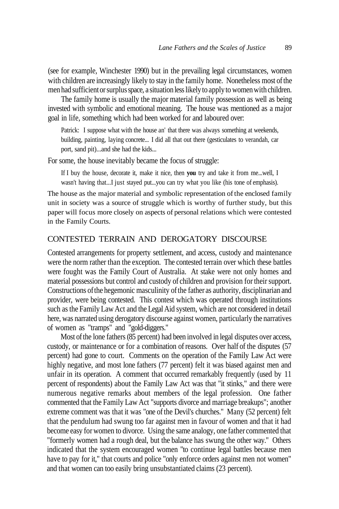(see for example, Winchester 1990) but in the prevailing legal circumstances, women with children are increasingly likely to stay in the family home. Nonetheless most of the men had sufficient or surplus space, a situation less likely to apply to women with children.

The family home is usually the major material family possession as well as being invested with symbolic and emotional meaning. The house was mentioned as a major goal in life, something which had been worked for and laboured over:

Patrick: I suppose what with the house an' that there was always something at weekends, building, painting, laying concrete... I did all that out there (gesticulates to verandah, car port, sand pit)...and she had the kids...

For some, the house inevitably became the focus of struggle:

If I buy the house, decorate it, make it nice, then **you** try and take it from me...well, I wasn't having that...I just stayed put...you can try what you like (his tone of emphasis).

The house as the major material and symbolic representation of the enclosed family unit in society was a source of struggle which is worthy of further study, but this paper will focus more closely on aspects of personal relations which were contested in the Family Courts.

#### CONTESTED TERRAIN AND DEROGATORY DISCOURSE

Contested arrangements for property settlement, and access, custody and maintenance were the norm rather than the exception. The contested terrain over which these battles were fought was the Family Court of Australia. At stake were not only homes and material possessions but control and custody of children and provision for their support. Constructions of the hegemonic masculinity of the father as authority, disciplinarian and provider, were being contested. This contest which was operated through institutions such as the Family Law Act and the Legal Aid system, which are not considered in detail here, was narrated using derogatory discourse against women, particularly the narratives of women as "tramps" and "gold-diggers."

Most of the lone fathers (85 percent) had been involved in legal disputes over access, custody, or maintenance or for a combination of reasons. Over half of the disputes (57 percent) had gone to court. Comments on the operation of the Family Law Act were highly negative, and most lone fathers (77 percent) felt it was biased against men and unfair in its operation. A comment that occurred remarkably frequently (used by 11 percent of respondents) about the Family Law Act was that "it stinks," and there were numerous negative remarks about members of the legal profession. One father commented that the Family Law Act "supports divorce and marriage breakups"; another extreme comment was that it was "one of the Devil's churches." Many (52 percent) felt that the pendulum had swung too far against men in favour of women and that it had become easy for women to divorce. Using the same analogy, one father commented that "formerly women had a rough deal, but the balance has swung the other way." Others indicated that the system encouraged women "to continue legal battles because men have to pay for it," that courts and police "only enforce orders against men not women" and that women can too easily bring unsubstantiated claims (23 percent).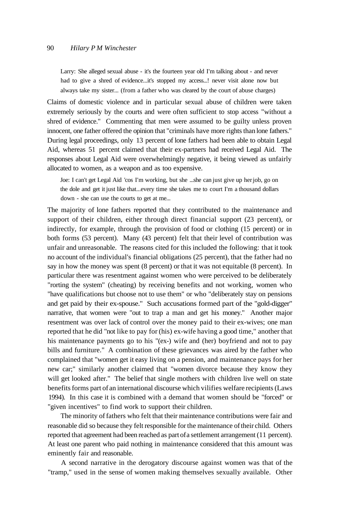#### 90 *Hilary P M Winchester*

Larry: She alleged sexual abuse - it's the fourteen year old I'm talking about - and never had to give a shred of evidence...it's stopped my access...! never visit alone now but always take my sister... (from a father who was cleared by the court of abuse charges)

Claims of domestic violence and in particular sexual abuse of children were taken extremely seriously by the courts and were often sufficient to stop access "without a shred of evidence." Commenting that men were assumed to be guilty unless proven innocent, one father offered the opinion that "criminals have more rights than lone fathers." During legal proceedings, only 13 percent of lone fathers had been able to obtain Legal Aid, whereas 51 percent claimed that their ex-partners had received Legal Aid. The responses about Legal Aid were overwhelmingly negative, it being viewed as unfairly allocated to women, as a weapon and as too expensive.

Joe: I can't get Legal Aid 'cos I'm working, but she ...she can just give up her job, go on the dole and get it just like that...every time she takes me to court I'm a thousand dollars down - she can use the courts to get at me...

The majority of lone fathers reported that they contributed to the maintenance and support of their children, either through direct financial support (23 percent), or indirectly, for example, through the provision of food or clothing (15 percent) or in both forms (53 percent). Many (43 percent) felt that their level of contribution was unfair and unreasonable. The reasons cited for this included the following: that it took no account of the individual's financial obligations (25 percent), that the father had no say in how the money was spent (8 percent) or that it was not equitable (8 percent). In particular there was resentment against women who were perceived to be deliberately "rorting the system" (cheating) by receiving benefits and not working, women who "have qualifications but choose not to use them" or who "deliberately stay on pensions and get paid by their ex-spouse." Such accusations formed part of the "gold-digger" narrative, that women were "out to trap a man and get his money." Another major resentment was over lack of control over the money paid to their ex-wives; one man reported that he did "not like to pay for (his) ex-wife having a good time," another that his maintenance payments go to his "(ex-) wife and (her) boyfriend and not to pay bills and furniture." A combination of these grievances was aired by the father who complained that "women get it easy living on a pension, and maintenance pays for her new car;" similarly another claimed that "women divorce because they know they will get looked after." The belief that single mothers with children live well on state benefits forms part of an international discourse which vilifies welfare recipients (Laws 1994). In this case it is combined with a demand that women should be "forced" or "given incentives" to find work to support their children.

The minority of fathers who felt that their maintenance contributions were fair and reasonable did so because they felt responsible for the maintenance of their child. Others reported that agreement had been reached as part of a settlement arrangement (11 percent). At least one parent who paid nothing in maintenance considered that this amount was eminently fair and reasonable.

A second narrative in the derogatory discourse against women was that of the "tramp," used in the sense of women making themselves sexually available. Other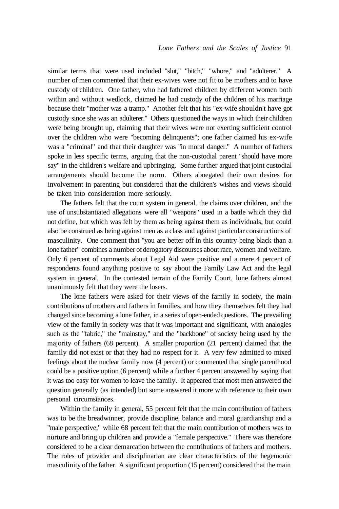similar terms that were used included "slut," "bitch," "whore," and "adulterer." A number of men commented that their ex-wives were not fit to be mothers and to have custody of children. One father, who had fathered children by different women both within and without wedlock, claimed he had custody of the children of his marriage because their "mother was a tramp." Another felt that his "ex-wife shouldn't have got custody since she was an adulterer." Others questioned the ways in which their children were being brought up, claiming that their wives were not exerting sufficient control over the children who were "becoming delinquents"; one father claimed his ex-wife was a "criminal" and that their daughter was "in moral danger." A number of fathers spoke in less specific terms, arguing that the non-custodial parent "should have more say" in the children's welfare and upbringing. Some further argued that joint custodial arrangements should become the norm. Others abnegated their own desires for involvement in parenting but considered that the children's wishes and views should be taken into consideration more seriously.

The fathers felt that the court system in general, the claims over children, and the use of unsubstantiated allegations were all "weapons" used in a battle which they did not define, but which was felt by them as being against them as individuals, but could also be construed as being against men as a class and against particular constructions of masculinity. One comment that "you are better off in this country being black than a lone father" combines a number of derogatory discourses about race, women and welfare. Only 6 percent of comments about Legal Aid were positive and a mere 4 percent of respondents found anything positive to say about the Family Law Act and the legal system in general. In the contested terrain of the Family Court, lone fathers almost unanimously felt that they were the losers.

The lone fathers were asked for their views of the family in society, the main contributions of mothers and fathers in families, and how they themselves felt they had changed since becoming a lone father, in a series of open-ended questions. The prevailing view of the family in society was that it was important and significant, with analogies such as the "fabric," the "mainstay," and the "backbone" of society being used by the majority of fathers (68 percent). A smaller proportion (21 percent) claimed that the family did not exist or that they had no respect for it. A very few admitted to mixed feelings about the nuclear family now (4 percent) or commented that single parenthood could be a positive option (6 percent) while a further 4 percent answered by saying that it was too easy for women to leave the family. It appeared that most men answered the question generally (as intended) but some answered it more with reference to their own personal circumstances.

Within the family in general, 55 percent felt that the main contribution of fathers was to be the breadwinner, provide discipline, balance and moral guardianship and a "male perspective," while 68 percent felt that the main contribution of mothers was to nurture and bring up children and provide a "female perspective." There was therefore considered to be a clear demarcation between the contributions of fathers and mothers. The roles of provider and disciplinarian are clear characteristics of the hegemonic masculinity of the father. A significant proportion (15 percent) considered that the main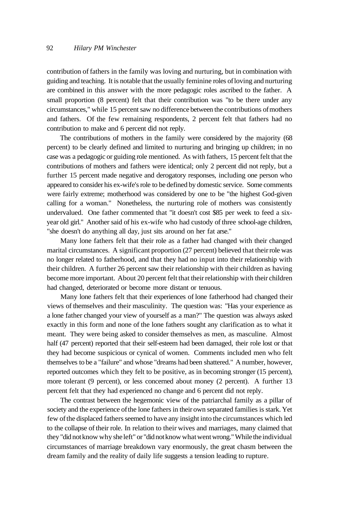contribution of fathers in the family was loving and nurturing, but in combination with guiding and teaching. It is notable that the usually feminine roles of loving and nurturing are combined in this answer with the more pedagogic roles ascribed to the father. A small proportion (8 percent) felt that their contribution was "to be there under any circumstances," while 15 percent saw no difference between the contributions of mothers and fathers. Of the few remaining respondents, 2 percent felt that fathers had no contribution to make and 6 percent did not reply.

The contributions of mothers in the family were considered by the majority (68 percent) to be clearly defined and limited to nurturing and bringing up children; in no case was a pedagogic or guiding role mentioned. As with fathers, 15 percent felt that the contributions of mothers and fathers were identical; only 2 percent did not reply, but a further 15 percent made negative and derogatory responses, including one person who appeared to consider his ex-wife's role to be defined by domestic service. Some comments were fairly extreme; motherhood was considered by one to be "the highest God-given calling for a woman." Nonetheless, the nurturing role of mothers was consistently undervalued. One father commented that "it doesn't cost \$85 per week to feed a sixyear old girl." Another said of his ex-wife who had custody of three school-age children, "she doesn't do anything all day, just sits around on her fat arse."

Many lone fathers felt that their role as a father had changed with their changed marital circumstances. A significant proportion (27 percent) believed that their role was no longer related to fatherhood, and that they had no input into their relationship with their children. A further 26 percent saw their relationship with their children as having become more important. About 20 percent felt that their relationship with their children had changed, deteriorated or become more distant or tenuous.

Many lone fathers felt that their experiences of lone fatherhood had changed their views of themselves and their masculinity. The question was: "Has your experience as a lone father changed your view of yourself as a man?" The question was always asked exactly in this form and none of the lone fathers sought any clarification as to what it meant. They were being asked to consider themselves as men, as masculine. Almost half (47 percent) reported that their self-esteem had been damaged, their role lost or that they had become suspicious or cynical of women. Comments included men who felt themselves to be a "failure" and whose "dreams had been shattered." A number, however, reported outcomes which they felt to be positive, as in becoming stronger (15 percent), more tolerant (9 percent), or less concerned about money (2 percent). A further 13 percent felt that they had experienced no change and 6 percent did not reply.

The contrast between the hegemonic view of the patriarchal family as a pillar of society and the experience of the lone fathers in their own separated families is stark. Yet few of the displaced fathers seemed to have any insight into the circumstances which led to the collapse of their role. In relation to their wives and marriages, many claimed that they "did not know why she left" or "did not know what went wrong." While the individual circumstances of marriage breakdown vary enormously, the great chasm between the dream family and the reality of daily life suggests a tension leading to rupture.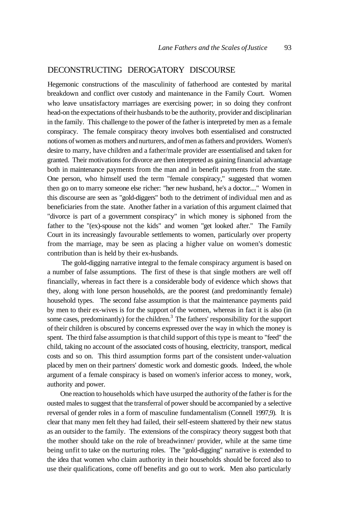## DECONSTRUCTING DEROGATORY DISCOURSE

Hegemonic constructions of the masculinity of fatherhood are contested by marital breakdown and conflict over custody and maintenance in the Family Court. Women who leave unsatisfactory marriages are exercising power; in so doing they confront head-on the expectations of their husbands to be the authority, provider and disciplinarian in the family. This challenge to the power of the father is interpreted by men as a female conspiracy. The female conspiracy theory involves both essentialised and constructed notions of women as mothers and nurturers, and of men as fathers and providers. Women's desire to marry, have children and a father/male provider are essentialised and taken for granted. Their motivations for divorce are then interpreted as gaining financial advantage both in maintenance payments from the man and in benefit payments from the state. One person, who himself used the term "female conspiracy," suggested that women then go on to marry someone else richer: "her new husband, he's a doctor...." Women in this discourse are seen as "gold-diggers" both to the detriment of individual men and as beneficiaries from the state. Another father in a variation of this argument claimed that "divorce is part of a government conspiracy" in which money is siphoned from the father to the "(ex)-spouse not the kids" and women "get looked after." The Family Court in its increasingly favourable settlements to women, particularly over property from the marriage, may be seen as placing a higher value on women's domestic contribution than is held by their ex-husbands.

The gold-digging narrative integral to the female conspiracy argument is based on a number of false assumptions. The first of these is that single mothers are well off financially, whereas in fact there is a considerable body of evidence which shows that they, along with lone person households, are the poorest (and predominantly female) household types. The second false assumption is that the maintenance payments paid by men to their ex-wives is for the support of the women, whereas in fact it is also (in some cases, predominantly) for the children.<sup>3</sup> The fathers' responsibility for the support of their children is obscured by concerns expressed over the way in which the money is spent. The third false assumption is that child support of this type is meant to "feed" the child, taking no account of the associated costs of housing, electricity, transport, medical costs and so on. This third assumption forms part of the consistent under-valuation placed by men on their partners' domestic work and domestic goods. Indeed, the whole argument of a female conspiracy is based on women's inferior access to money, work, authority and power.

One reaction to households which have usurped the authority of the father is for the ousted males to suggest that the transferral of power should be accompanied by a selective reversal of gender roles in a form of masculine fundamentalism (Connell 1997,9). It is clear that many men felt they had failed, their self-esteem shattered by their new status as an outsider to the family. The extensions of the conspiracy theory suggest both that the mother should take on the role of breadwinner/ provider, while at the same time being unfit to take on the nurturing roles. The "gold-digging" narrative is extended to the idea that women who claim authority in their households should be forced also to use their qualifications, come off benefits and go out to work. Men also particularly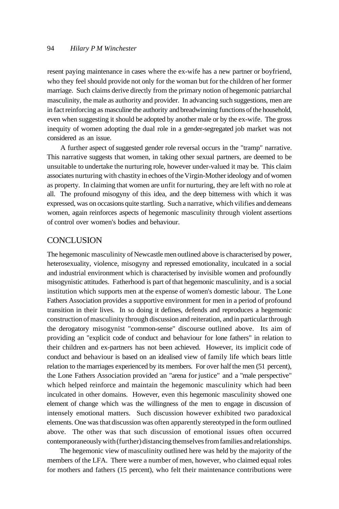#### 94 *Hilary P M Winchester*

resent paying maintenance in cases where the ex-wife has a new partner or boyfriend, who they feel should provide not only for the woman but for the children of her former marriage. Such claims derive directly from the primary notion of hegemonic patriarchal masculinity, the male as authority and provider. In advancing such suggestions, men are in fact reinforcing as masculine the authority and breadwinning functions of the household, even when suggesting it should be adopted by another male or by the ex-wife. The gross inequity of women adopting the dual role in a gender-segregated job market was not considered as an issue.

A further aspect of suggested gender role reversal occurs in the "tramp" narrative. This narrative suggests that women, in taking other sexual partners, are deemed to be unsuitable to undertake the nurturing role, however under-valued it may be. This claim associates nurturing with chastity in echoes of the Virgin-Mother ideology and of women as property. In claiming that women are unfit for nurturing, they are left with no role at all. The profound misogyny of this idea, and the deep bitterness with which it was expressed, was on occasions quite startling. Such a narrative, which vilifies and demeans women, again reinforces aspects of hegemonic masculinity through violent assertions of control over women's bodies and behaviour.

#### **CONCLUSION**

The hegemonic masculinity of Newcastle men outlined above is characterised by power, heterosexuality, violence, misogyny and repressed emotionality, inculcated in a social and industrial environment which is characterised by invisible women and profoundly misogynistic attitudes. Fatherhood is part of that hegemonic masculinity, and is a social institution which supports men at the expense of women's domestic labour. The Lone Fathers Association provides a supportive environment for men in a period of profound transition in their lives. In so doing it defines, defends and reproduces a hegemonic construction of masculinity through discussion and reiteration, and in particular through the derogatory misogynist "common-sense" discourse outlined above. Its aim of providing an "explicit code of conduct and behaviour for lone fathers" in relation to their children and ex-partners has not been achieved. However, its implicit code of conduct and behaviour is based on an idealised view of family life which bears little relation to the marriages experienced by its members. For over half the men (51 percent), the Lone Fathers Association provided an "arena for justice" and a "male perspective" which helped reinforce and maintain the hegemonic masculinity which had been inculcated in other domains. However, even this hegemonic masculinity showed one element of change which was the willingness of the men to engage in discussion of intensely emotional matters. Such discussion however exhibited two paradoxical elements. One was that discussion was often apparently stereotyped in the form outlined above. The other was that such discussion of emotional issues often occurred contemporaneously with (further) distancing themselves from families and relationships.

The hegemonic view of masculinity outlined here was held by the majority of the members of the LFA. There were a number of men, however, who claimed equal roles for mothers and fathers (15 percent), who felt their maintenance contributions were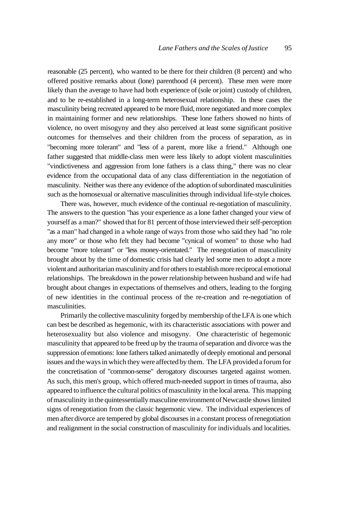reasonable (25 percent), who wanted to be there for their children (8 percent) and who offered positive remarks about (lone) parenthood (4 percent). These men were more likely than the average to have had both experience of (sole or joint) custody of children, and to be re-established in a long-term heterosexual relationship. In these cases the masculinity being recreated appeared to be more fluid, more negotiated and more complex in maintaining former and new relationships. These lone fathers showed no hints of violence, no overt misogyny and they also perceived at least some significant positive outcomes for themselves and their children from the process of separation, as in "becoming more tolerant" and "less of a parent, more like a friend." Although one father suggested that middle-class men were less likely to adopt violent masculinities "vindictiveness and aggression from lone fathers is a class thing," there was no clear evidence from the occupational data of any class differentiation in the negotiation of masculinity. Neither was there any evidence of the adoption of subordinated masculinities such as the homosexual or alternative masculinities through individual life-style choices.

There was, however, much evidence of the continual re-negotiation of masculinity. The answers to the question "has your experience as a lone father changed your view of yourself as a man?" showed that for 81 percent of those interviewed their self-perception "as a man" had changed in a whole range of ways from those who said they had "no role any more" or those who felt they had become "cynical of women" to those who had become "more tolerant" or "less money-orientated." The renegotiation of masculinity brought about by the time of domestic crisis had clearly led some men to adopt a more violent and authoritarian masculinity and for others to establish more reciprocal emotional relationships. The breakdown in the power relationship between husband and wife had brought about changes in expectations of themselves and others, leading to the forging of new identities in the continual process of the re-creation and re-negotiation of masculinities.

Primarily the collective masculinity forged by membership of the LFA is one which can best be described as hegemonic, with its characteristic associations with power and heterosexuality but also violence and misogyny. One characteristic of hegemonic masculinity that appeared to be freed up by the trauma of separation and divorce was the suppression of emotions: lone fathers talked animatedly of deeply emotional and personal issues and the ways in which they were affected by them. The LFA provided a forum for the concretisation of "common-sense" derogatory discourses targeted against women. As such, this men's group, which offered much-needed support in times of trauma, also appeared to influence the cultural politics of masculinity in the local arena. This mapping of masculinity in the quintessentially masculine environment of Newcastle shows limited signs of renegotiation from the classic hegemonic view. The individual experiences of men after divorce are tempered by global discourses in a constant process of renegotiation and realignment in the social construction of masculinity for individuals and localities.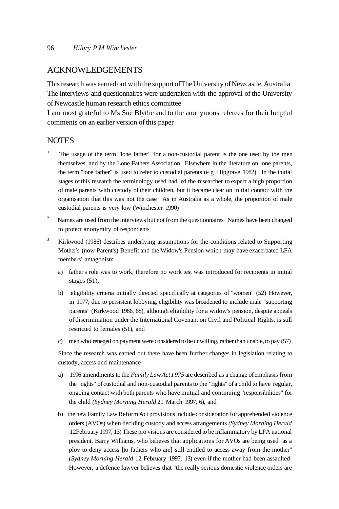## ACKNOWLEDGEMENTS

This research was earned out with the support of The University of Newcastle, Australia The interviews and questionnaires were undertaken with the approval of the University of Newcastle human research ethics committee

I am most grateful to Ms Sue Blythe and to the anonymous referees for their helpful comments on an earlier version of this paper

#### **NOTES**

- 1 The usage of the term "lone father" for a non-custodial parent is the one used by the men themselves, and by the Lone Fathers Association Elsewhere in the literature on lone parents, the term "lone father" is used to refer to custodial parents (e g Hipgrave 1982) In the initial stages of this research the terminology used had led the researcher to expect a high proportion of male parents with custody of their children, but it became clear on initial contact with the organisation that this was not the case As in Australia as a whole, the proportion of male custodial parents is very low (Winchester 1990)
- 2 Names are used from the interviews but not from the questionnaires Names have been changed to protect anonymity of respondents
- 3 Kirkwood (1986) describes underlying assumptions for the conditions related to Supporting Mother's (now Parent's) Benefit and the Widow's Pension which may have exacerbated LFA members' antagonism
	- a) father's role was to work, therefore no work test was introduced for recipients in initial stages (51),
	- b) eligibility criteria initially directed specifically at categories of "women" (52) However, in 1977, due to persistent lobbying, eligibility was broadened to include male "supporting parents" (Kirkwood 1986, 68), although eligibility for a widow's pension, despite appeals of discrimination under the International Covenant on Civil and Political Rights, is still restricted to females (51), and
	- c) men who reneged on payment were considered to be unwilling, rather than unable, to pay (57)

Since the research was earned out there have been further changes in legislation relating to custody, access and maintenance

- a) 1996 amendments to the *Family Law Act 1 975* are described as a change of emphasis from the "nghts" of custodial and non-custodial parents to the "rights" of a child to have regular, ongoing contact with both parents who have mutual and continuing "responsibilities" for the child *(Sydney Morning Herald* 21 March 1997, 6), and
- b) the new Family Law Reform Act provisions include consideration for apprehended violence orders (AVOs) when deciding custody and access arrangements *(Sydney Morning Herald* 12February 1997, 13) These pro visions are considered to be inflammatory by LFA national president, Barry Williams, who believes that applications for AVOs are being used "as a ploy to deny access [to fathers who are] still entitled to access away from the mother" *(Sydney Morning Herald* 12 February 1997, 13) even if the mother had been assaulted However, a defence lawyer believes that "the really serious domestic violence orders are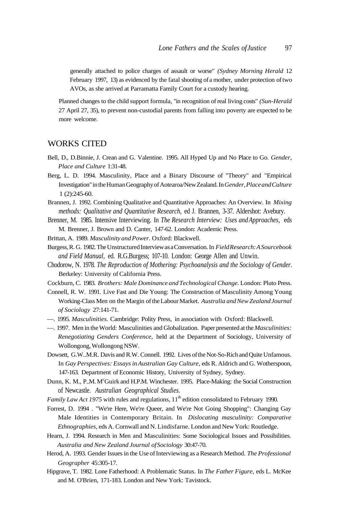generally attached to police charges of assault or worse" *(Sydney Morning Herald* 12 February 1997, 13) as evidenced by the fatal shooting of a mother, under protection of two AVOs, as she arrived at Parramatta Family Court for a custody hearing.

Planned changes to the child support formula, "in recognition of real living costs" *(Sun-Herald* 27 April 27, 35), to prevent non-custodial parents from falling into poverty are expected to be more welcome.

#### WORKS CITED

- Bell, D., D.Binnie, J. Crean and G. Valentine. 1995. All Hyped Up and No Place to Go. *Gender, Place and Culture* 1:31-48.
- Berg, L. D. 1994. Masculinity, Place and a Binary Discourse of "Theory" and "Empirical Investigation" in the Human Geography of Aotearoa/New Zealand. In *Gender, Place and Culture* 1 (2):245-60.
- Brannen, J. 1992. Combining Qualitative and Quantitative Approaches: An Overview. In *Mixing methods: Qualitative and Quantitative Research,* ed J. Brannen, 3-37. Aldershot: Avebury.
- Brenner, M. 1985. Intensive Interviewing. In *The Research Interview: Uses and Approaches,* eds M. Brenner, J. Brown and D. Canter, 147-62. London: Academic Press.
- Brittan, A. 1989. *Masculinity and Power.* Oxford: Blackwell.
- Burgess, R. G. 1982. The Unstructured Interview as a Conversation. In *Field Research: A Sourcebook and Field Manual,* ed. R.G.Burgess; 107-10. London: George Allen and Unwin.
- Chodorow, N. 1978. *The Reproduction of Mothering: Psychoanalysis and the Sociology of Gender.* Berkeley: University of California Press.
- Cockburn, C. 1983. *Brothers: Male Dominance and Technological Change.* London: Pluto Press.
- Connell, R. W. 1991. Live Fast and Die Young: The Construction of Masculinity Among Young Working-Class Men on the Margin of the Labour Market. *Australia and New Zealand Journal of Sociology* 27:141-71.
- —. 1995. *Masculinities.* Cambridge: Polity Press, in association with Oxford: Blackwell.
- —. 1997. Men in the World: Masculinities and Globalization. Paper presented at the *Masculinities: Renegotiating Genders Conference,* held at the Department of Sociology, University of Wollongong, Wollongong NSW.
- Dowsett, G.W..M.R. Davis and R.W. Connell. 1992. Lives of the Not-So-Rich and Quite Unfamous. In *Gay Perspectives: Essays in Australian Gay Culture,* eds R. Aldrich and G. Wotherspoon, 147-163. Department of Economic History, University of Sydney, Sydney.
- Dunn, K. M., P. M. M<sup>c</sup>Guirk and H.P.M. Winchester. 1995. Place-Making: the Social Construction of Newcastle. *Australian Geographical Studies.*
- Family Law Act 1975 with rules and regulations,  $11<sup>th</sup>$  edition consolidated to February 1990.
- Forrest, D. 1994 . "We're Here, We're Queer, and We're Not Going Shopping": Changing Gay Male Identities in Contemporary Britain. In *Dislocating masculinity: Comparative Ethnographies,* eds A. Cornwall and N. Lindisfarne. London and New York: Routledge.
- Hearn, J. 1994. Research in Men and Masculinities: Some Sociological Issues and Possibilities. *Australia and New Zealand Journal of Sociology* 30:47-70.
- Herod, A. 1993. Gender Issues in the Use of Interviewing as a Research Method. *The Professional Geographer* 45:305-17.
- Hipgrave, T. 1982. Lone Fatherhood: A Problematic Status. In *The Father Figure,* eds L. McKee and M. O'Brien, 171-183. London and New York: Tavistock.